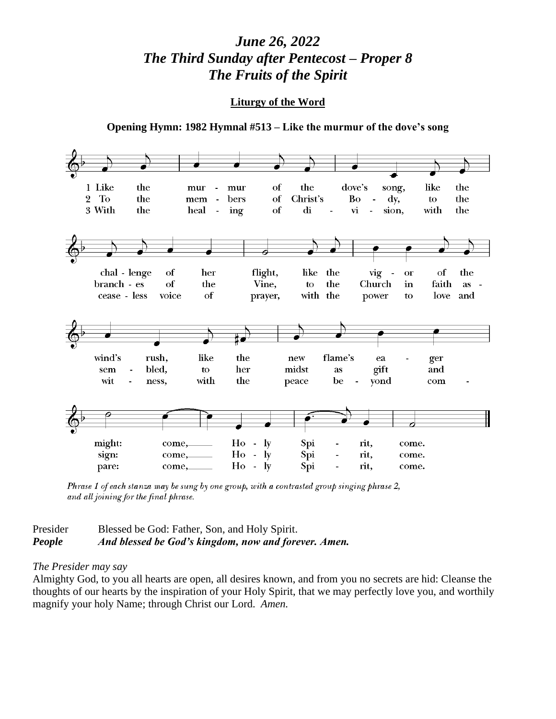# *June 26, 2022 The Third Sunday after Pentecost – Proper 8 The Fruits of the Spirit*

### **Liturgy of the Word**



**Opening Hymn: 1982 Hymnal #513 – Like the murmur of the dove's song**

Phrase 1 of each stanza may be sung by one group, with a contrasted group singing phrase 2, and all joining for the final phrase.

### Presider Blessed be God: Father, Son, and Holy Spirit. *People And blessed be God's kingdom, now and forever. Amen.*

#### *The Presider may say*

Almighty God, to you all hearts are open, all desires known, and from you no secrets are hid: Cleanse the thoughts of our hearts by the inspiration of your Holy Spirit, that we may perfectly love you, and worthily magnify your holy Name; through Christ our Lord. *Amen.*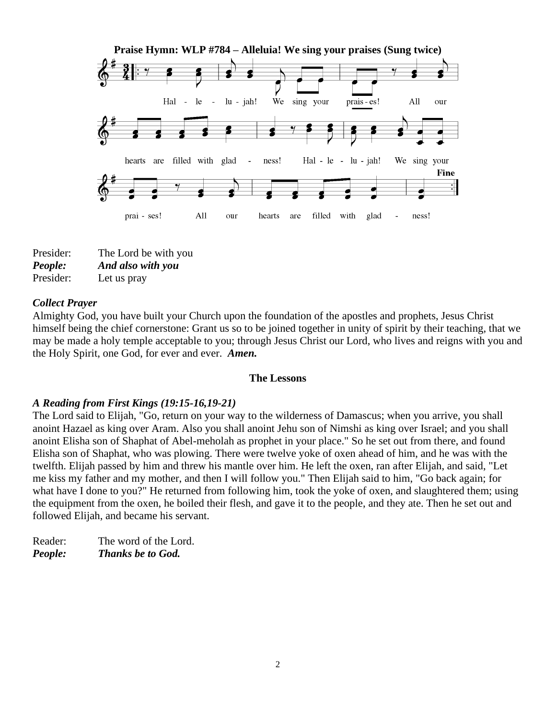

| Presider: | The Lord be with you |
|-----------|----------------------|
| People:   | And also with you    |
|           |                      |

Presider: Let us pray

#### *Collect Prayer*

Almighty God, you have built your Church upon the foundation of the apostles and prophets, Jesus Christ himself being the chief cornerstone: Grant us so to be joined together in unity of spirit by their teaching, that we may be made a holy temple acceptable to you; through Jesus Christ our Lord, who lives and reigns with you and the Holy Spirit, one God, for ever and ever. *Amen.*

#### **The Lessons**

#### *A Reading from First Kings (19:15-16,19-21)*

The Lord said to Elijah, "Go, return on your way to the wilderness of Damascus; when you arrive, you shall anoint Hazael as king over Aram. Also you shall anoint Jehu son of Nimshi as king over Israel; and you shall anoint Elisha son of Shaphat of Abel-meholah as prophet in your place." So he set out from there, and found Elisha son of Shaphat, who was plowing. There were twelve yoke of oxen ahead of him, and he was with the twelfth. Elijah passed by him and threw his mantle over him. He left the oxen, ran after Elijah, and said, "Let me kiss my father and my mother, and then I will follow you." Then Elijah said to him, "Go back again; for what have I done to you?" He returned from following him, took the yoke of oxen, and slaughtered them; using the equipment from the oxen, he boiled their flesh, and gave it to the people, and they ate. Then he set out and followed Elijah, and became his servant.

| Reader: | The word of the Lord.    |
|---------|--------------------------|
| People: | <b>Thanks be to God.</b> |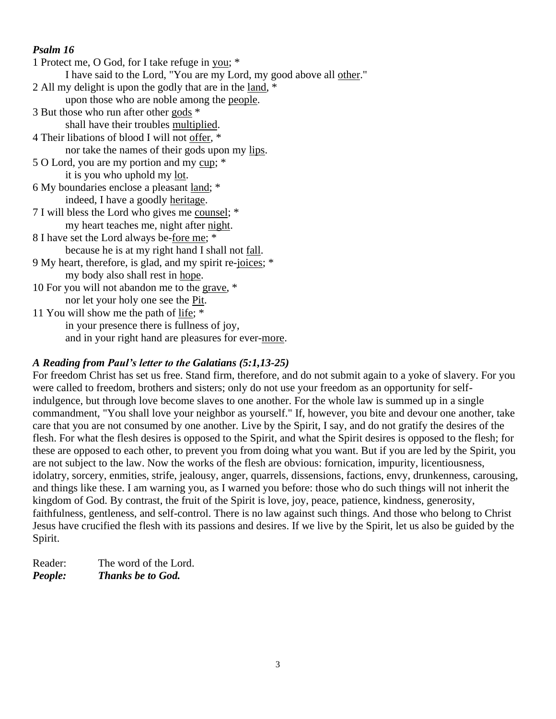# *Psalm 16*

1 Protect me, O God, for I take refuge in you; \* I have said to the Lord, "You are my Lord, my good above all other." 2 All my delight is upon the godly that are in the land, \* upon those who are noble among the people. 3 But those who run after other gods \* shall have their troubles multiplied. 4 Their libations of blood I will not offer, \* nor take the names of their gods upon my lips. 5 O Lord, you are my portion and my cup; \* it is you who uphold my lot. 6 My boundaries enclose a pleasant land; \* indeed, I have a goodly heritage. 7 I will bless the Lord who gives me counsel; \* my heart teaches me, night after night. 8 I have set the Lord always be-fore me; \* because he is at my right hand I shall not fall. 9 My heart, therefore, is glad, and my spirit re-joices; \* my body also shall rest in hope. 10 For you will not abandon me to the grave, \* nor let your holy one see the Pit. 11 You will show me the path of life; \* in your presence there is fullness of joy, and in your right hand are pleasures for ever-more.

# *A Reading from Paul's letter to the Galatians (5:1,13-25)*

For freedom Christ has set us free. Stand firm, therefore, and do not submit again to a yoke of slavery. For you were called to freedom, brothers and sisters; only do not use your freedom as an opportunity for selfindulgence, but through love become slaves to one another. For the whole law is summed up in a single commandment, "You shall love your neighbor as yourself." If, however, you bite and devour one another, take care that you are not consumed by one another. Live by the Spirit, I say, and do not gratify the desires of the flesh. For what the flesh desires is opposed to the Spirit, and what the Spirit desires is opposed to the flesh; for these are opposed to each other, to prevent you from doing what you want. But if you are led by the Spirit, you are not subject to the law. Now the works of the flesh are obvious: fornication, impurity, licentiousness, idolatry, sorcery, enmities, strife, jealousy, anger, quarrels, dissensions, factions, envy, drunkenness, carousing, and things like these. I am warning you, as I warned you before: those who do such things will not inherit the kingdom of God. By contrast, the fruit of the Spirit is love, joy, peace, patience, kindness, generosity, faithfulness, gentleness, and self-control. There is no law against such things. And those who belong to Christ Jesus have crucified the flesh with its passions and desires. If we live by the Spirit, let us also be guided by the Spirit.

Reader: The word of the Lord. *People: Thanks be to God.*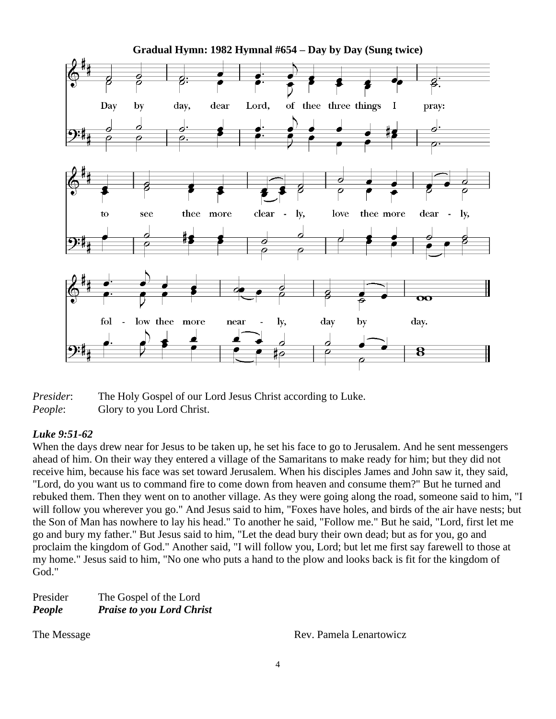

*Presider*: The Holy Gospel of our Lord Jesus Christ according to Luke. *People*: Glory to you Lord Christ.

# *Luke 9:51-62*

When the days drew near for Jesus to be taken up, he set his face to go to Jerusalem. And he sent messengers ahead of him. On their way they entered a village of the Samaritans to make ready for him; but they did not receive him, because his face was set toward Jerusalem. When his disciples James and John saw it, they said, "Lord, do you want us to command fire to come down from heaven and consume them?" But he turned and rebuked them. Then they went on to another village. As they were going along the road, someone said to him, "I will follow you wherever you go." And Jesus said to him, "Foxes have holes, and birds of the air have nests; but the Son of Man has nowhere to lay his head." To another he said, "Follow me." But he said, "Lord, first let me go and bury my father." But Jesus said to him, "Let the dead bury their own dead; but as for you, go and proclaim the kingdom of God." Another said, "I will follow you, Lord; but let me first say farewell to those at my home." Jesus said to him, "No one who puts a hand to the plow and looks back is fit for the kingdom of God."

Presider The Gospel of the Lord *People Praise to you Lord Christ*

The Message Rev. Pamela Lenartowicz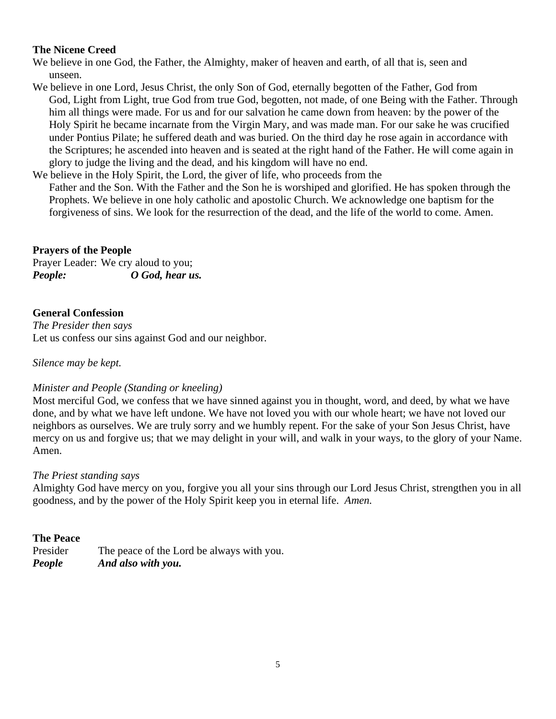# **The Nicene Creed**

We believe in one God, the Father, the Almighty, maker of heaven and earth, of all that is, seen and unseen.

- We believe in one Lord, Jesus Christ, the only Son of God, eternally begotten of the Father, God from God, Light from Light, true God from true God, begotten, not made, of one Being with the Father. Through him all things were made. For us and for our salvation he came down from heaven: by the power of the Holy Spirit he became incarnate from the Virgin Mary, and was made man. For our sake he was crucified under Pontius Pilate; he suffered death and was buried. On the third day he rose again in accordance with the Scriptures; he ascended into heaven and is seated at the right hand of the Father. He will come again in glory to judge the living and the dead, and his kingdom will have no end.
- We believe in the Holy Spirit, the Lord, the giver of life, who proceeds from the Father and the Son. With the Father and the Son he is worshiped and glorified. He has spoken through the Prophets. We believe in one holy catholic and apostolic Church. We acknowledge one baptism for the forgiveness of sins. We look for the resurrection of the dead, and the life of the world to come. Amen.

# **Prayers of the People**

Prayer Leader: We cry aloud to you; *People: O God, hear us.*

# **General Confession**

*The Presider then says* Let us confess our sins against God and our neighbor.

*Silence may be kept.*

# *Minister and People (Standing or kneeling)*

Most merciful God, we confess that we have sinned against you in thought, word, and deed, by what we have done, and by what we have left undone. We have not loved you with our whole heart; we have not loved our neighbors as ourselves. We are truly sorry and we humbly repent. For the sake of your Son Jesus Christ, have mercy on us and forgive us; that we may delight in your will, and walk in your ways, to the glory of your Name. Amen.

# *The Priest standing says*

Almighty God have mercy on you, forgive you all your sins through our Lord Jesus Christ, strengthen you in all goodness, and by the power of the Holy Spirit keep you in eternal life. *Amen.*

# **The Peace**

| Presider | The peace of the Lord be always with you. |
|----------|-------------------------------------------|
| People   | And also with you.                        |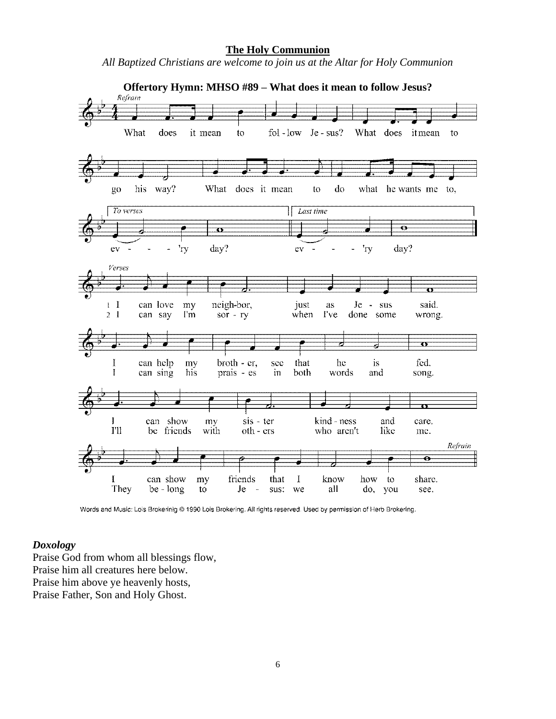#### **The Holy Communion**

*All Baptized Christians are welcome to join us at the Altar for Holy Communion*



Words and Music: Lois Brokerinig @ 1990 Lois Brokering. All rights reserved. Used by permission of Herb Brokering.

#### *Doxology*

Praise God from whom all blessings flow, Praise him all creatures here below. Praise him above ye heavenly hosts, Praise Father, Son and Holy Ghost.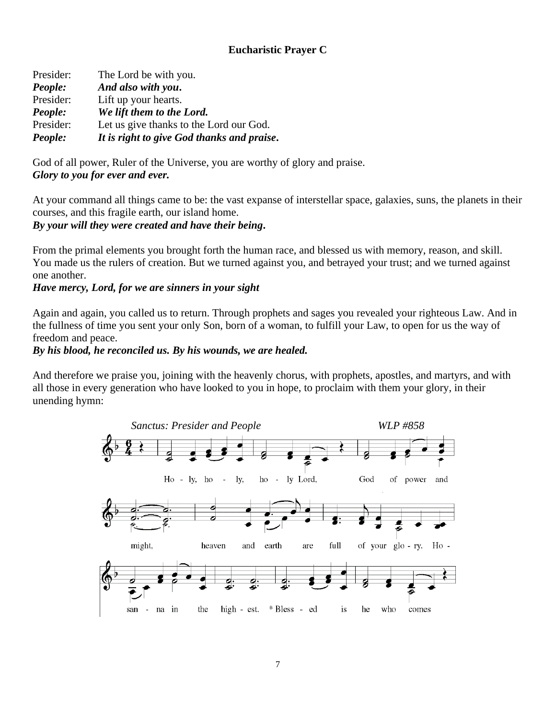# **Eucharistic Prayer C**

| Presider:      | The Lord be with you.                      |
|----------------|--------------------------------------------|
| People:        | And also with you.                         |
| Presider:      | Lift up your hearts.                       |
| <b>People:</b> | We lift them to the Lord.                  |
| Presider:      | Let us give thanks to the Lord our God.    |
| People:        | It is right to give God thanks and praise. |

God of all power, Ruler of the Universe, you are worthy of glory and praise. *Glory to you for ever and ever.*

At your command all things came to be: the vast expanse of interstellar space, galaxies, suns, the planets in their courses, and this fragile earth, our island home.

*By your will they were created and have their being***.**

From the primal elements you brought forth the human race, and blessed us with memory, reason, and skill. You made us the rulers of creation. But we turned against you, and betrayed your trust; and we turned against one another.

*Have mercy, Lord, for we are sinners in your sight*

Again and again, you called us to return. Through prophets and sages you revealed your righteous Law. And in the fullness of time you sent your only Son, born of a woman, to fulfill your Law, to open for us the way of freedom and peace.

*By his blood, he reconciled us. By his wounds, we are healed.*

And therefore we praise you, joining with the heavenly chorus, with prophets, apostles, and martyrs, and with all those in every generation who have looked to you in hope, to proclaim with them your glory, in their unending hymn:

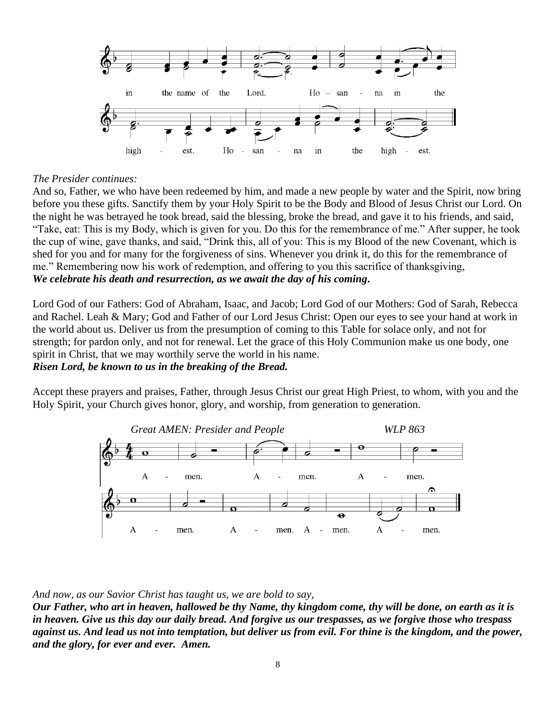

#### *The Presider continues:*

And so, Father, we who have been redeemed by him, and made a new people by water and the Spirit, now bring before you these gifts. Sanctify them by your Holy Spirit to be the Body and Blood of Jesus Christ our Lord. On the night he was betrayed he took bread, said the blessing, broke the bread, and gave it to his friends, and said, "Take, eat: This is my Body, which is given for you. Do this for the remembrance of me." After supper, he took the cup of wine, gave thanks, and said, "Drink this, all of you: This is my Blood of the new Covenant, which is shed for you and for many for the forgiveness of sins. Whenever you drink it, do this for the remembrance of me." Remembering now his work of redemption, and offering to you this sacrifice of thanksgiving, *We celebrate his death and resurrection, as we await the day of his coming***.**

Lord God of our Fathers: God of Abraham, Isaac, and Jacob; Lord God of our Mothers: God of Sarah, Rebecca and Rachel. Leah & Mary; God and Father of our Lord Jesus Christ: Open our eyes to see your hand at work in the world about us. Deliver us from the presumption of coming to this Table for solace only, and not for strength; for pardon only, and not for renewal. Let the grace of this Holy Communion make us one body, one spirit in Christ, that we may worthily serve the world in his name. *Risen Lord, be known to us in the breaking of the Bread.*

Accept these prayers and praises, Father, through Jesus Christ our great High Priest, to whom, with you and the Holy Spirit, your Church gives honor, glory, and worship, from generation to generation.



*And now, as our Savior Christ has taught us, we are bold to say,*

*Our Father, who art in heaven, hallowed be thy Name, thy kingdom come, thy will be done, on earth as it is in heaven. Give us this day our daily bread. And forgive us our trespasses, as we forgive those who trespass against us. And lead us not into temptation, but deliver us from evil. For thine is the kingdom, and the power, and the glory, for ever and ever. Amen.*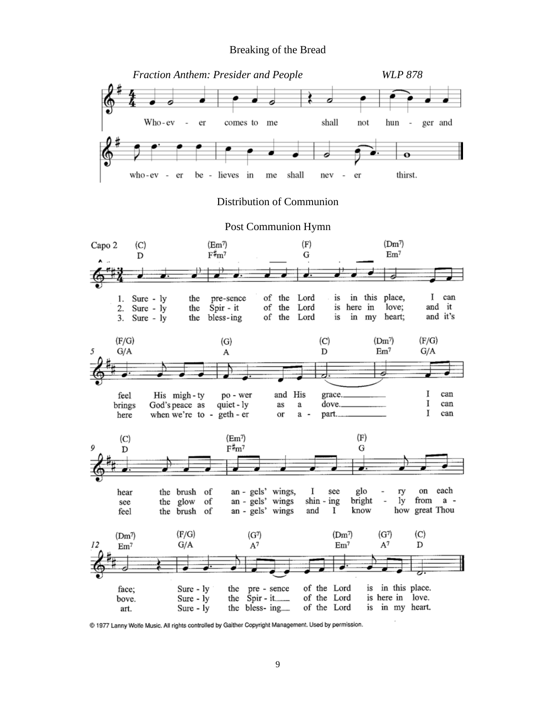#### Breaking of the Bread



@ 1977 Lanny Wolfe Music. All rights controlled by Gaither Copyright Management. Used by permission.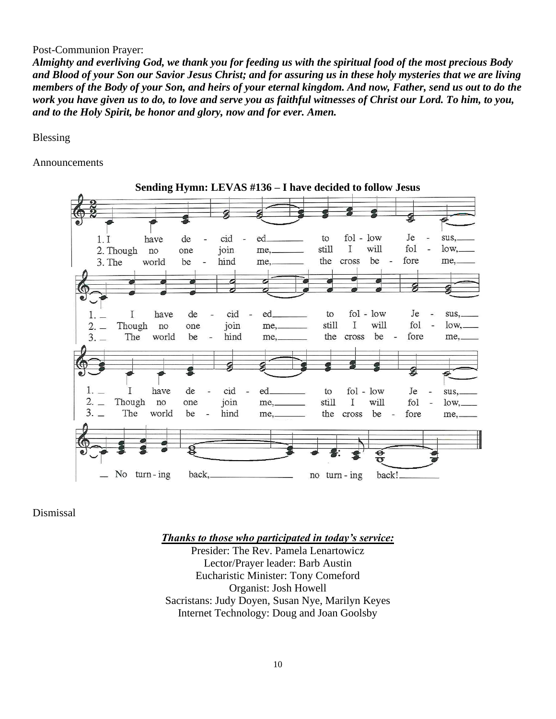#### Post-Communion Prayer:

*Almighty and everliving God, we thank you for feeding us with the spiritual food of the most precious Body and Blood of your Son our Savior Jesus Christ; and for assuring us in these holy mysteries that we are living members of the Body of your Son, and heirs of your eternal kingdom. And now, Father, send us out to do the work you have given us to do, to love and serve you as faithful witnesses of Christ our Lord. To him, to you, and to the Holy Spirit, be honor and glory, now and for ever. Amen.*

Blessing

Announcements



Dismissal

*Thanks to those who participated in today's service:* Presider: The Rev. Pamela Lenartowicz Lector/Prayer leader: Barb Austin Eucharistic Minister: Tony Comeford Organist: Josh Howell Sacristans: Judy Doyen, Susan Nye, Marilyn Keyes Internet Technology: Doug and Joan Goolsby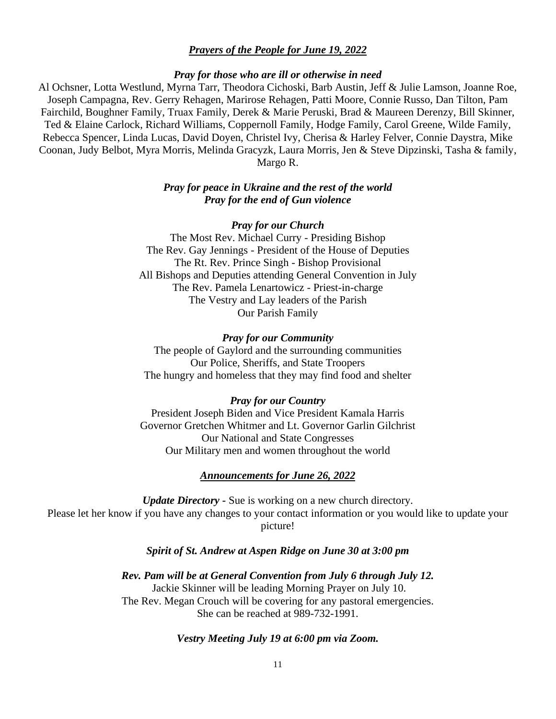#### *Prayers of the People for June 19, 2022*

#### *Pray for those who are ill or otherwise in need*

Al Ochsner, Lotta Westlund, Myrna Tarr, Theodora Cichoski, Barb Austin, Jeff & Julie Lamson, Joanne Roe, Joseph Campagna, Rev. Gerry Rehagen, Marirose Rehagen, Patti Moore, Connie Russo, Dan Tilton, Pam Fairchild, Boughner Family, Truax Family, Derek & Marie Peruski, Brad & Maureen Derenzy, Bill Skinner, Ted & Elaine Carlock, Richard Williams, Coppernoll Family, Hodge Family, Carol Greene, Wilde Family, Rebecca Spencer, Linda Lucas, David Doyen, Christel Ivy, Cherisa & Harley Felver, Connie Daystra, Mike Coonan, Judy Belbot, Myra Morris, Melinda Gracyzk, Laura Morris, Jen & Steve Dipzinski, Tasha & family, Margo R.

#### *Pray for peace in Ukraine and the rest of the world Pray for the end of Gun violence*

#### *Pray for our Church*

The Most Rev. Michael Curry - Presiding Bishop The Rev. Gay Jennings - President of the House of Deputies The Rt. Rev. Prince Singh - Bishop Provisional All Bishops and Deputies attending General Convention in July The Rev. Pamela Lenartowicz - Priest-in-charge The Vestry and Lay leaders of the Parish Our Parish Family

#### *Pray for our Community*

The people of Gaylord and the surrounding communities Our Police, Sheriffs, and State Troopers The hungry and homeless that they may find food and shelter

#### *Pray for our Country*

President Joseph Biden and Vice President Kamala Harris Governor Gretchen Whitmer and Lt. Governor Garlin Gilchrist Our National and State Congresses Our Military men and women throughout the world

#### *Announcements for June 26, 2022*

*Update Directory -* Sue is working on a new church directory. Please let her know if you have any changes to your contact information or you would like to update your picture!

*Spirit of St. Andrew at Aspen Ridge on June 30 at 3:00 pm*

*Rev. Pam will be at General Convention from July 6 through July 12.* Jackie Skinner will be leading Morning Prayer on July 10. The Rev. Megan Crouch will be covering for any pastoral emergencies. She can be reached at 989-732-1991.

#### *Vestry Meeting July 19 at 6:00 pm via Zoom.*